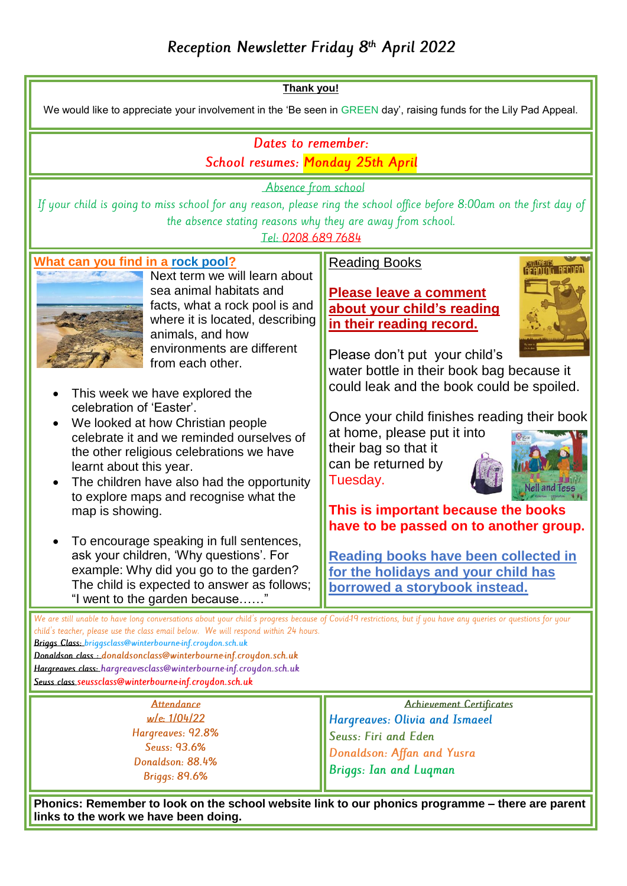## Reception Newsletter Friday 8<sup>th</sup> April 2022

| <b>Thank you!</b>                                                                                                                                                                                                                                                                                                                                                                                                                                                                                                                                                                                                                                                                                                                                                                            |                                                                                                                                                                                                                                                                                                                                                                                                                                                                                                                                                                                     |  |
|----------------------------------------------------------------------------------------------------------------------------------------------------------------------------------------------------------------------------------------------------------------------------------------------------------------------------------------------------------------------------------------------------------------------------------------------------------------------------------------------------------------------------------------------------------------------------------------------------------------------------------------------------------------------------------------------------------------------------------------------------------------------------------------------|-------------------------------------------------------------------------------------------------------------------------------------------------------------------------------------------------------------------------------------------------------------------------------------------------------------------------------------------------------------------------------------------------------------------------------------------------------------------------------------------------------------------------------------------------------------------------------------|--|
| We would like to appreciate your involvement in the 'Be seen in GREEN day', raising funds for the Lily Pad Appeal.                                                                                                                                                                                                                                                                                                                                                                                                                                                                                                                                                                                                                                                                           |                                                                                                                                                                                                                                                                                                                                                                                                                                                                                                                                                                                     |  |
| Dates to remember:<br>School resumes: Monday 25th April                                                                                                                                                                                                                                                                                                                                                                                                                                                                                                                                                                                                                                                                                                                                      |                                                                                                                                                                                                                                                                                                                                                                                                                                                                                                                                                                                     |  |
| Absence from school<br>If your child is going to miss school for any reason, please ring the school office before 8:00am on the first day of<br>the absence stating reasons why they are away from school.<br>Tel: 0208 689 7684                                                                                                                                                                                                                                                                                                                                                                                                                                                                                                                                                             |                                                                                                                                                                                                                                                                                                                                                                                                                                                                                                                                                                                     |  |
| What can you find in a rock pool?<br>Next term we will learn about<br>sea animal habitats and<br>facts, what a rock pool is and<br>where it is located, describing<br>animals, and how<br>environments are different<br>from each other.<br>This week we have explored the<br>celebration of 'Easter'.<br>We looked at how Christian people<br>celebrate it and we reminded ourselves of<br>the other religious celebrations we have<br>learnt about this year.<br>The children have also had the opportunity<br>to explore maps and recognise what the<br>map is showing.<br>To encourage speaking in full sentences,<br>ask your children, 'Why questions'. For<br>example: Why did you go to the garden?<br>The child is expected to answer as follows;<br>"I went to the garden because" | <b>Reading Books</b><br><b>Please leave a comment</b><br>about your child's reading<br>in their reading record.<br>Please don't put your child's<br>water bottle in their book bag because it<br>could leak and the book could be spoiled.<br>Once your child finishes reading their book<br>at home, please put it into<br>their bag so that it<br>can be returned by<br>Tuesday.<br>This is important because the books<br>have to be passed on to another group.<br>Reading books have been collected in<br>for the holidays and your child has<br>borrowed a storybook instead. |  |
| We are still unable to have long conversations about your child's progress because of Covid-19 restrictions, but if you have any queries or questions for your<br>child's teacher, please use the class email below. We will respond within 24 hours.<br>Briggs Class: briggsclass@winterbourne-inf.croydon.sch.uk<br>Donaldson class : donaldsonclass@winterbourne-inf.croydon.sch.uk<br>Hargreaves class: hargreavesclass@winterbourne-inf.croydon.sch.uk<br>Seuss_class_seussclass@winterbourne-inf.croydon.sch.uk                                                                                                                                                                                                                                                                        |                                                                                                                                                                                                                                                                                                                                                                                                                                                                                                                                                                                     |  |
| <b>Attendance</b><br>w/e: 1/04/22<br>Hargreaves: 92.8%<br>Seuss: 93.6%<br>Donaldson: 88.4%<br><b>Briggs: 89.6%</b>                                                                                                                                                                                                                                                                                                                                                                                                                                                                                                                                                                                                                                                                           | <b>Achievement Certificates</b><br>Hargreaves: Olivia and Ismaeel<br><b>Seuss: Firi and Eden</b><br>Donaldson: Affan and Yusra<br><b>Briggs: Ian and Luqman</b>                                                                                                                                                                                                                                                                                                                                                                                                                     |  |
| Phonics: Remember to look on the school website link to our phonics programme - there are parent<br>links to the work we have been doing.                                                                                                                                                                                                                                                                                                                                                                                                                                                                                                                                                                                                                                                    |                                                                                                                                                                                                                                                                                                                                                                                                                                                                                                                                                                                     |  |